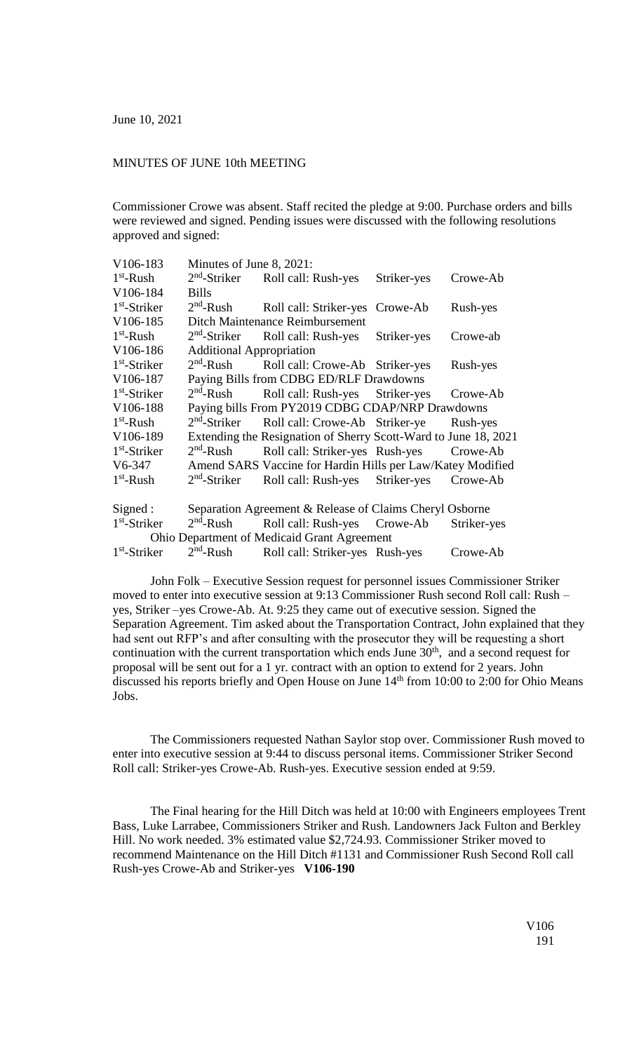## MINUTES OF JUNE 10th MEETING

Commissioner Crowe was absent. Staff recited the pledge at 9:00. Purchase orders and bills were reviewed and signed. Pending issues were discussed with the following resolutions approved and signed:

| V106-183                                           | Minutes of June 8, 2021:                                        |                                                       |             |             |
|----------------------------------------------------|-----------------------------------------------------------------|-------------------------------------------------------|-------------|-------------|
| $1st$ -Rush                                        | $2nd$ -Striker                                                  | Roll call: Rush-yes                                   | Striker-yes | Crowe-Ab    |
| V106-184                                           | <b>Bills</b>                                                    |                                                       |             |             |
| $1st$ -Striker                                     | $2nd$ -Rush                                                     | Roll call: Striker-yes Crowe-Ab                       |             | Rush-yes    |
| V106-185                                           | Ditch Maintenance Reimbursement                                 |                                                       |             |             |
| $1st$ -Rush                                        | $2nd$ -Striker                                                  | Roll call: Rush-yes                                   | Striker-yes | Crowe-ab    |
| V106-186                                           | <b>Additional Appropriation</b>                                 |                                                       |             |             |
| $1st$ -Striker                                     | $2nd$ -Rush                                                     | Roll call: Crowe-Ab Striker-yes                       |             | Rush-yes    |
| V106-187                                           | Paying Bills from CDBG ED/RLF Drawdowns                         |                                                       |             |             |
| $1st$ -Striker                                     | $2nd$ -Rush                                                     | Roll call: Rush-yes Striker-yes                       |             | Crowe-Ab    |
| V106-188                                           | Paying bills From PY2019 CDBG CDAP/NRP Drawdowns                |                                                       |             |             |
| $1st$ -Rush                                        | $2nd$ -Striker                                                  | Roll call: Crowe-Ab Striker-ye                        |             | Rush-yes    |
| V106-189                                           | Extending the Resignation of Sherry Scott-Ward to June 18, 2021 |                                                       |             |             |
| $1st$ -Striker                                     | $2nd$ -Rush                                                     | Roll call: Striker-yes Rush-yes                       |             | Crowe-Ab    |
| $V6-347$                                           | Amend SARS Vaccine for Hardin Hills per Law/Katey Modified      |                                                       |             |             |
| $1st$ -Rush                                        | $2nd$ -Striker                                                  | Roll call: Rush-yes Striker-yes                       |             | Crowe-Ab    |
| Signed:                                            | Separation Agreement & Release of Claims Cheryl Osborne         |                                                       |             |             |
| $1st$ -Striker                                     | $2nd$ -Rush                                                     | Roll call: Rush-yes Crowe-Ab                          |             | Striker-yes |
| <b>Ohio Department of Medicaid Grant Agreement</b> |                                                                 |                                                       |             |             |
| $1st$ -Striker                                     |                                                                 | 2 <sup>nd</sup> -Rush Roll call: Striker-yes Rush-yes |             | Crowe-Ab    |

John Folk – Executive Session request for personnel issues Commissioner Striker moved to enter into executive session at 9:13 Commissioner Rush second Roll call: Rush – yes, Striker –yes Crowe-Ab. At. 9:25 they came out of executive session. Signed the Separation Agreement. Tim asked about the Transportation Contract, John explained that they had sent out RFP's and after consulting with the prosecutor they will be requesting a short continuation with the current transportation which ends June  $30<sup>th</sup>$ , and a second request for proposal will be sent out for a 1 yr. contract with an option to extend for 2 years. John discussed his reports briefly and Open House on June 14<sup>th</sup> from 10:00 to 2:00 for Ohio Means Jobs.

The Commissioners requested Nathan Saylor stop over. Commissioner Rush moved to enter into executive session at 9:44 to discuss personal items. Commissioner Striker Second Roll call: Striker-yes Crowe-Ab. Rush-yes. Executive session ended at 9:59.

The Final hearing for the Hill Ditch was held at 10:00 with Engineers employees Trent Bass, Luke Larrabee, Commissioners Striker and Rush. Landowners Jack Fulton and Berkley Hill. No work needed. 3% estimated value \$2,724.93. Commissioner Striker moved to recommend Maintenance on the Hill Ditch #1131 and Commissioner Rush Second Roll call Rush-yes Crowe-Ab and Striker-yes **V106-190**